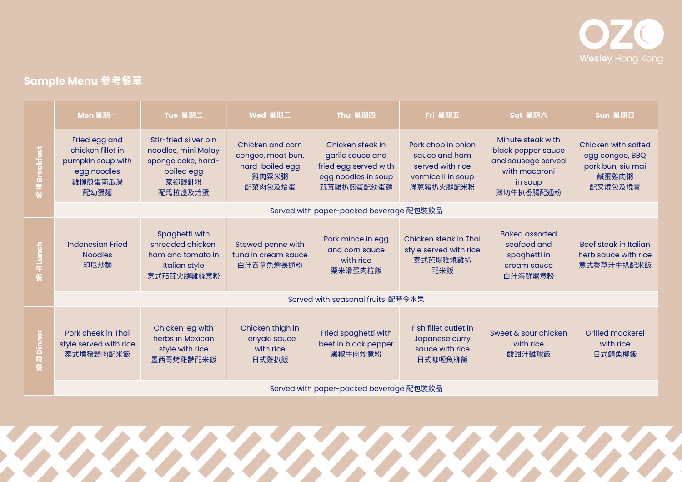

## **Sample Menu 參考餐單**

|                           | Mon 星期一                                                                                   | Tue 星期二                                                                                              | Wed 星期三                                                                      | Thu 星期四                                                                                            | Fri 星期五                                                                                    | Sat 星期六                                                                                                | Sun 星期日                                                                                |  |  |
|---------------------------|-------------------------------------------------------------------------------------------|------------------------------------------------------------------------------------------------------|------------------------------------------------------------------------------|----------------------------------------------------------------------------------------------------|--------------------------------------------------------------------------------------------|--------------------------------------------------------------------------------------------------------|----------------------------------------------------------------------------------------|--|--|
| $\overline{5}$<br>õã<br>ē | Fried egg and<br>chicken fillet in<br>pumpkin soup with<br>egg noodles<br>雞柳煎蛋南瓜湯<br>配幼蛋麵 | Stir-fried silver pin<br>noodles, mini Malay<br>sponge cake, hard-<br>boiled egg<br>家鄉銀針粉<br>配馬拉盞及烚蛋 | Chicken and corn<br>congee, meat bun,<br>hard-boiled egg<br>雞肉粟米粥<br>配菜肉包及烚蛋 | Chicken steak in<br>garlic sauce and<br>fried egg served with<br>egg noodles in soup<br>蒜茸雞扒煎蛋配幼蛋麵 | Pork chop in onion<br>squce and ham<br>served with rice<br>vermicelli in soup<br>洋蔥豬扒火腿配米粉 | Minute steak with<br>black pepper sauce<br>and sausage served<br>with macaroni<br>in soup<br>薄切牛扒香腸配通粉 | <b>Chicken with salted</b><br>egg congee, BBQ<br>pork bun, siu mai<br>鹹蛋雞肉粥<br>配叉燒包及燒賣 |  |  |
|                           | Served with paper-packed beverage 配包裝飲品                                                   |                                                                                                      |                                                                              |                                                                                                    |                                                                                            |                                                                                                        |                                                                                        |  |  |
| 4<br>中Lunc <mark>h</mark> | <b>Indonesian Fried</b><br><b>Noodles</b><br>印尼炒麵                                         | Spaghetti with<br>shredded chicken,<br>ham and tomato in<br><b>Italian style</b><br>意式茄茸火腿雞絲意粉       | Stewed penne with<br>tuna in cream sauce<br>白汁吞拿魚燴長通粉                        | Pork mince in egg<br>and corn sauce<br>with rice<br>粟米滑蛋肉粒飯                                        | Chicken steak in Thai<br>style served with rice<br>泰式芭堤雅燒雞扒<br>配米飯                         | <b>Baked assorted</b><br>seafood and<br>spaghetti in<br>cream sauce<br>白汁海鮮焗意粉                         | Beef steak in Italian<br>herb sauce with rice<br>意式香草汁牛扒配米飯                            |  |  |
|                           | Served with seasonal fruits 配時令水果                                                         |                                                                                                      |                                                                              |                                                                                                    |                                                                                            |                                                                                                        |                                                                                        |  |  |
| <b>こに</b><br>晚<br>餐       | Pork cheek in Thai<br>style served with rice<br>泰式燒豬頸肉配米飯                                 | Chicken leg with<br>herbs in Mexican<br>style with rice<br>墨西哥烤雞髀配米飯                                 | Chicken thigh in<br>Teriyaki sauce<br>with rice<br>日式雞扒飯                     | Fried spaghetti with<br>beef in black pepper<br>黑椒牛肉炒意粉                                            | Fish fillet cutlet in<br>Japanese curry<br>squce with rice<br>日式咖喱魚柳飯                      | Sweet & sour chicken<br>with rice<br>酸甜汁雞球飯                                                            | <b>Grilled mackerel</b><br>with rice<br>日式鯖魚柳飯                                         |  |  |
|                           | Served with paper-packed beverage 配包裝飲品                                                   |                                                                                                      |                                                                              |                                                                                                    |                                                                                            |                                                                                                        |                                                                                        |  |  |